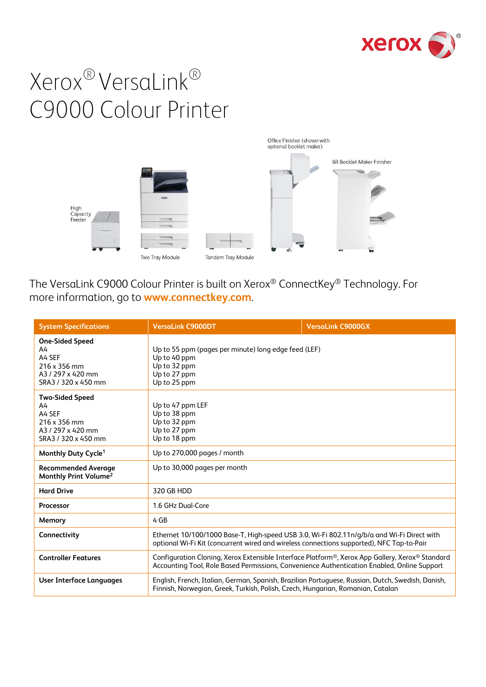



The VersaLink C9000 Colour Printer is built on Xerox® ConnectKey® Technology. For more information, go to **[www.connectkey.com](http://www.connectkey.com/)**.

| <b>System Specifications</b>                                                                       | <b>VersaLink C9000DT</b>                                                                                                                                                                                                | <b>VersaLink C9000GX</b> |
|----------------------------------------------------------------------------------------------------|-------------------------------------------------------------------------------------------------------------------------------------------------------------------------------------------------------------------------|--------------------------|
| <b>One-Sided Speed</b><br>A4<br>A4 SEF<br>216 x 356 mm<br>A3 / 297 x 420 mm<br>SRA3 / 320 x 450 mm | Up to 55 ppm (pages per minute) long edge feed (LEF)<br>Up to 40 ppm<br>Up to 32 ppm<br>Up to 27 ppm<br>Up to 25 ppm                                                                                                    |                          |
| <b>Two-Sided Speed</b><br>A4<br>A4 SEF<br>216 x 356 mm<br>A3 / 297 x 420 mm<br>SRA3 / 320 x 450 mm | Up to 47 ppm LEF<br>Up to 38 ppm<br>Up to 32 ppm<br>Up to 27 ppm<br>Up to 18 ppm                                                                                                                                        |                          |
| Monthly Duty Cycle <sup>1</sup>                                                                    | Up to 270,000 pages / month                                                                                                                                                                                             |                          |
| <b>Recommended Average</b><br>Monthly Print Volume <sup>2</sup>                                    | Up to 30,000 pages per month                                                                                                                                                                                            |                          |
| <b>Hard Drive</b>                                                                                  | 320 GB HDD                                                                                                                                                                                                              |                          |
| <b>Processor</b>                                                                                   | 1.6 GHz Dual-Core                                                                                                                                                                                                       |                          |
| Memory                                                                                             | 4 GB                                                                                                                                                                                                                    |                          |
| Connectivity                                                                                       | Ethernet 10/100/1000 Base-T, High-speed USB 3.0, Wi-Fi 802.11n/g/b/a and Wi-Fi Direct with<br>optional Wi-Fi Kit (concurrent wired and wireless connections supported), NFC Tap-to-Pair                                 |                          |
| <b>Controller Features</b>                                                                         | Configuration Cloning, Xerox Extensible Interface Platform <sup>®</sup> , Xerox App Gallery, Xerox <sup>®</sup> Standard<br>Accounting Tool, Role Based Permissions, Convenience Authentication Enabled, Online Support |                          |
| <b>User Interface Languages</b>                                                                    | English, French, Italian, German, Spanish, Brazilian Portuguese, Russian, Dutch, Swedish, Danish,<br>Finnish, Norwegian, Greek, Turkish, Polish, Czech, Hungarian, Romanian, Catalan                                    |                          |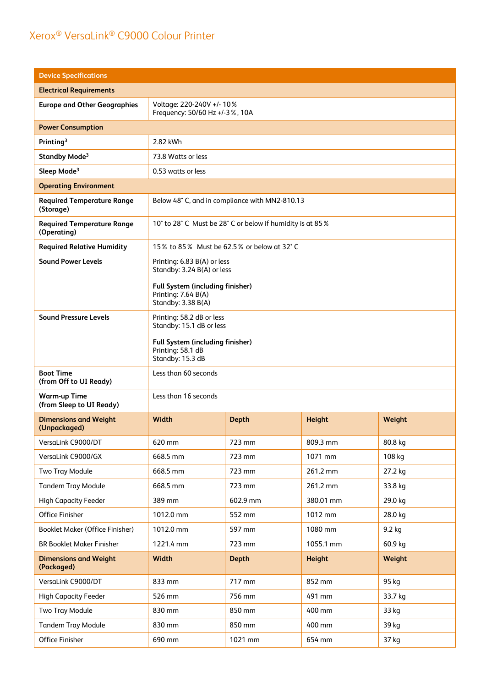| <b>Device Specifications</b>                     |                                                                                                                                            |                                           |               |         |
|--------------------------------------------------|--------------------------------------------------------------------------------------------------------------------------------------------|-------------------------------------------|---------------|---------|
| <b>Electrical Requirements</b>                   |                                                                                                                                            |                                           |               |         |
| <b>Europe and Other Geographies</b>              | Voltage: 220-240V +/- 10%<br>Frequency: 50/60 Hz +/-3 %, 10A                                                                               |                                           |               |         |
| <b>Power Consumption</b>                         |                                                                                                                                            |                                           |               |         |
| Printing <sup>3</sup>                            | 2.82 kWh                                                                                                                                   |                                           |               |         |
| Standby Mode <sup>3</sup>                        | 73.8 Watts or less                                                                                                                         |                                           |               |         |
| Sleep Mode <sup>3</sup>                          | 0.53 watts or less                                                                                                                         |                                           |               |         |
| <b>Operating Environment</b>                     |                                                                                                                                            |                                           |               |         |
| <b>Required Temperature Range</b><br>(Storage)   | Below 48° C, and in compliance with MN2-810.13                                                                                             |                                           |               |         |
| <b>Required Temperature Range</b><br>(Operating) | 10° to 28° C Must be 28° C or below if humidity is at 85%                                                                                  |                                           |               |         |
| <b>Required Relative Humidity</b>                |                                                                                                                                            | 15% to 85% Must be 62.5% or below at 32°C |               |         |
| <b>Sound Power Levels</b>                        | Printing: 6.83 B(A) or less<br>Standby: 3.24 B(A) or less<br>Full System (including finisher)<br>Printing: 7.64 B(A)<br>Standby: 3.38 B(A) |                                           |               |         |
| <b>Sound Pressure Levels</b>                     | Printing: 58.2 dB or less<br>Standby: 15.1 dB or less<br>Full System (including finisher)<br>Printing: 58.1 dB<br>Standby: 15.3 dB         |                                           |               |         |
| <b>Boot Time</b><br>(from Off to UI Ready)       | Less than 60 seconds                                                                                                                       |                                           |               |         |
| <b>Warm-up Time</b><br>(from Sleep to UI Ready)  | Less than 16 seconds                                                                                                                       |                                           |               |         |
| <b>Dimensions and Weight</b><br>(Unpackaged)     | Width                                                                                                                                      | <b>Depth</b>                              | Height        | Weight  |
| VersaLink C9000/DT                               | 620 mm                                                                                                                                     | 723 mm                                    | 809.3 mm      | 80.8 kg |
| VersaLink C9000/GX                               | 668.5 mm                                                                                                                                   | 723 mm                                    | 1071 mm       | 108 kg  |
| <b>Two Tray Module</b>                           | 668.5 mm                                                                                                                                   | 723 mm                                    | 261.2 mm      | 27.2 kg |
| <b>Tandem Tray Module</b>                        | 668.5 mm                                                                                                                                   | 723 mm                                    | 261.2 mm      | 33.8 kg |
| <b>High Capacity Feeder</b>                      | 389 mm                                                                                                                                     | 602.9 mm                                  | 380.01 mm     | 29.0 kg |
| Office Finisher                                  | 1012.0 mm                                                                                                                                  | 552 mm                                    | 1012 mm       | 28.0 kg |
| Booklet Maker (Office Finisher)                  | 1012.0 mm                                                                                                                                  | 597 mm                                    | 1080 mm       | 9.2 kg  |
| <b>BR Booklet Maker Finisher</b>                 | 1221.4 mm                                                                                                                                  | 723 mm                                    | 1055.1 mm     | 60.9 kg |
| <b>Dimensions and Weight</b><br>(Packaged)       | Width                                                                                                                                      | <b>Depth</b>                              | <b>Height</b> | Weight  |
| VersaLink C9000/DT                               | 833 mm                                                                                                                                     | 717 mm                                    | 852 mm        | 95 kg   |
| <b>High Capacity Feeder</b>                      | 526 mm                                                                                                                                     | 756 mm                                    | 491 mm        | 33.7 kg |
| Two Tray Module                                  | 830 mm                                                                                                                                     | 850 mm                                    | 400 mm        | 33 kg   |
| <b>Tandem Tray Module</b>                        | 830 mm                                                                                                                                     | 850 mm                                    | 400 mm        | 39 kg   |
| Office Finisher                                  | 690 mm                                                                                                                                     | 1021 mm                                   | 654 mm        | 37 kg   |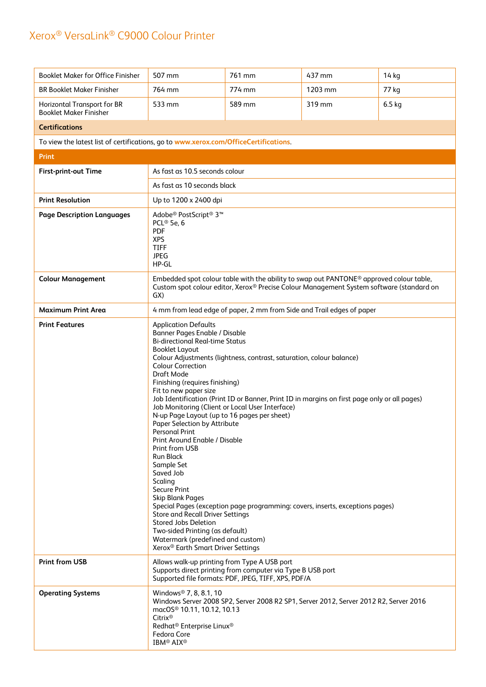| <b>Booklet Maker for Office Finisher</b>                                             | 507 mm                                                                                                                                                                                                                                                                                                                                                                                                                                                                                                                                                                                                                                                                                                                                                                                                                                                                                                                                                                                                                                                                                        | 761 mm                                                                                                            | 437 mm  | 14 kg    |
|--------------------------------------------------------------------------------------|-----------------------------------------------------------------------------------------------------------------------------------------------------------------------------------------------------------------------------------------------------------------------------------------------------------------------------------------------------------------------------------------------------------------------------------------------------------------------------------------------------------------------------------------------------------------------------------------------------------------------------------------------------------------------------------------------------------------------------------------------------------------------------------------------------------------------------------------------------------------------------------------------------------------------------------------------------------------------------------------------------------------------------------------------------------------------------------------------|-------------------------------------------------------------------------------------------------------------------|---------|----------|
| <b>BR Booklet Maker Finisher</b>                                                     | 764 mm                                                                                                                                                                                                                                                                                                                                                                                                                                                                                                                                                                                                                                                                                                                                                                                                                                                                                                                                                                                                                                                                                        | 774 mm                                                                                                            | 1203 mm | 77 kg    |
| Horizontal Transport for BR<br><b>Booklet Maker Finisher</b>                         | 533 mm                                                                                                                                                                                                                                                                                                                                                                                                                                                                                                                                                                                                                                                                                                                                                                                                                                                                                                                                                                                                                                                                                        | 589 mm                                                                                                            | 319 mm  | $6.5$ kg |
| <b>Certifications</b>                                                                |                                                                                                                                                                                                                                                                                                                                                                                                                                                                                                                                                                                                                                                                                                                                                                                                                                                                                                                                                                                                                                                                                               |                                                                                                                   |         |          |
| To view the latest list of certifications, go to www.xerox.com/OfficeCertifications. |                                                                                                                                                                                                                                                                                                                                                                                                                                                                                                                                                                                                                                                                                                                                                                                                                                                                                                                                                                                                                                                                                               |                                                                                                                   |         |          |
| <b>Print</b>                                                                         |                                                                                                                                                                                                                                                                                                                                                                                                                                                                                                                                                                                                                                                                                                                                                                                                                                                                                                                                                                                                                                                                                               |                                                                                                                   |         |          |
| First-print-out Time                                                                 | As fast as 10.5 seconds colour                                                                                                                                                                                                                                                                                                                                                                                                                                                                                                                                                                                                                                                                                                                                                                                                                                                                                                                                                                                                                                                                |                                                                                                                   |         |          |
|                                                                                      | As fast as 10 seconds black                                                                                                                                                                                                                                                                                                                                                                                                                                                                                                                                                                                                                                                                                                                                                                                                                                                                                                                                                                                                                                                                   |                                                                                                                   |         |          |
| <b>Print Resolution</b>                                                              |                                                                                                                                                                                                                                                                                                                                                                                                                                                                                                                                                                                                                                                                                                                                                                                                                                                                                                                                                                                                                                                                                               | Up to 1200 x 2400 dpi                                                                                             |         |          |
| <b>Page Description Languages</b>                                                    | Adobe <sup>®</sup> PostScript <sup>®</sup> 3 <sup>™</sup><br>PCL <sup>®</sup> 5e, 6<br><b>PDF</b><br><b>XPS</b><br><b>TIFF</b><br><b>JPEG</b><br>HP-GL                                                                                                                                                                                                                                                                                                                                                                                                                                                                                                                                                                                                                                                                                                                                                                                                                                                                                                                                        |                                                                                                                   |         |          |
| <b>Colour Management</b>                                                             | Embedded spot colour table with the ability to swap out PANTONE <sup>®</sup> approved colour table,<br>Custom spot colour editor, Xerox® Precise Colour Management System software (standard on<br>GX)                                                                                                                                                                                                                                                                                                                                                                                                                                                                                                                                                                                                                                                                                                                                                                                                                                                                                        |                                                                                                                   |         |          |
| <b>Maximum Print Area</b>                                                            |                                                                                                                                                                                                                                                                                                                                                                                                                                                                                                                                                                                                                                                                                                                                                                                                                                                                                                                                                                                                                                                                                               |                                                                                                                   |         |          |
| <b>Print Features</b>                                                                | 4 mm from lead edge of paper, 2 mm from Side and Trail edges of paper<br><b>Application Defaults</b><br>Banner Pages Enable / Disable<br><b>Bi-directional Real-time Status</b><br><b>Booklet Layout</b><br>Colour Adjustments (lightness, contrast, saturation, colour balance)<br><b>Colour Correction</b><br>Draft Mode<br>Finishing (requires finishing)<br>Fit to new paper size<br>Job Identification (Print ID or Banner, Print ID in margins on first page only or all pages)<br>Job Monitoring (Client or Local User Interface)<br>N-up Page Layout (up to 16 pages per sheet)<br>Paper Selection by Attribute<br><b>Personal Print</b><br>Print Around Enable / Disable<br>Print from USB<br><b>Run Black</b><br>Sample Set<br>Saved Job<br>Scaling<br><b>Secure Print</b><br><b>Skip Blank Pages</b><br>Special Pages (exception page programming: covers, inserts, exceptions pages)<br><b>Store and Recall Driver Settings</b><br>Stored Jobs Deletion<br>Two-sided Printing (as default)<br>Watermark (predefined and custom)<br>Xerox <sup>®</sup> Earth Smart Driver Settings |                                                                                                                   |         |          |
| <b>Print from USB</b>                                                                | Allows walk-up printing from Type A USB port                                                                                                                                                                                                                                                                                                                                                                                                                                                                                                                                                                                                                                                                                                                                                                                                                                                                                                                                                                                                                                                  | Supports direct printing from computer via Type B USB port<br>Supported file formats: PDF, JPEG, TIFF, XPS, PDF/A |         |          |
| <b>Operating Systems</b>                                                             | Windows <sup>®</sup> 7, 8, 8.1, 10<br>Windows Server 2008 SP2, Server 2008 R2 SP1, Server 2012, Server 2012 R2, Server 2016<br>macOS <sup>®</sup> 10.11, 10.12, 10.13<br>Citrix®<br>Redhat <sup>®</sup> Enterprise Linux <sup>®</sup><br>Fedora Core<br><b>IBM® AIX®</b>                                                                                                                                                                                                                                                                                                                                                                                                                                                                                                                                                                                                                                                                                                                                                                                                                      |                                                                                                                   |         |          |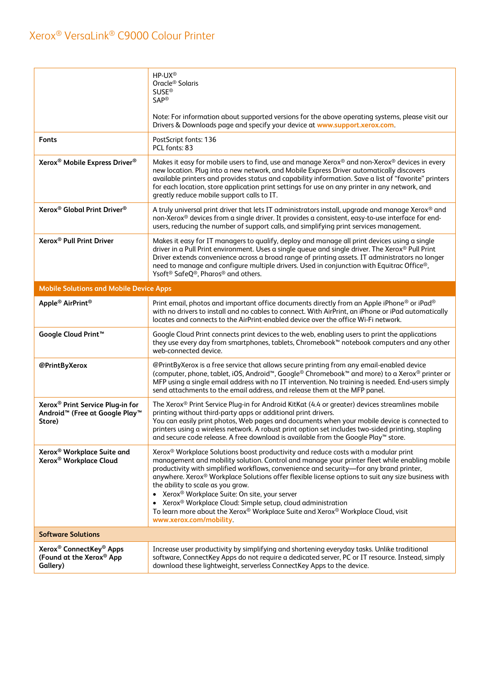|                                                                                                                  | HP-UX <sup>®</sup><br>Oracle <sup>®</sup> Solaris<br><b>SUSE®</b><br><b>SAP®</b>                                                                                                                                                                                                                                                                                                                                                                                                                                                                                                                                                                                                                       |  |  |
|------------------------------------------------------------------------------------------------------------------|--------------------------------------------------------------------------------------------------------------------------------------------------------------------------------------------------------------------------------------------------------------------------------------------------------------------------------------------------------------------------------------------------------------------------------------------------------------------------------------------------------------------------------------------------------------------------------------------------------------------------------------------------------------------------------------------------------|--|--|
|                                                                                                                  | Note: For information about supported versions for the above operating systems, please visit our<br>Drivers & Downloads page and specify your device at www.support.xerox.com.                                                                                                                                                                                                                                                                                                                                                                                                                                                                                                                         |  |  |
| <b>Fonts</b>                                                                                                     | PostScript fonts: 136<br>PCL fonts: 83                                                                                                                                                                                                                                                                                                                                                                                                                                                                                                                                                                                                                                                                 |  |  |
| Xerox <sup>®</sup> Mobile Express Driver <sup>®</sup>                                                            | Makes it easy for mobile users to find, use and manage Xerox® and non-Xerox® devices in every<br>new location. Plug into a new network, and Mobile Express Driver automatically discovers<br>available printers and provides status and capability information. Save a list of "favorite" printers<br>for each location, store application print settings for use on any printer in any network, and<br>greatly reduce mobile support calls to IT.                                                                                                                                                                                                                                                     |  |  |
| Xerox <sup>®</sup> Global Print Driver <sup>®</sup>                                                              | A truly universal print driver that lets IT administrators install, upgrade and manage Xerox® and<br>non-Xerox® devices from a single driver. It provides a consistent, easy-to-use interface for end-<br>users, reducing the number of support calls, and simplifying print services management.                                                                                                                                                                                                                                                                                                                                                                                                      |  |  |
| Xerox <sup>®</sup> Pull Print Driver                                                                             | Makes it easy for IT managers to qualify, deploy and manage all print devices using a single<br>driver in a Pull Print environment. Uses a single queue and single driver. The Xerox® Pull Print<br>Driver extends convenience across a broad range of printing assets. IT administrators no longer<br>need to manage and configure multiple drivers. Used in conjunction with Equitrac Office®,<br>Ysoft <sup>®</sup> SafeQ <sup>®</sup> , Pharos <sup>®</sup> and others.                                                                                                                                                                                                                            |  |  |
| <b>Mobile Solutions and Mobile Device Apps</b>                                                                   |                                                                                                                                                                                                                                                                                                                                                                                                                                                                                                                                                                                                                                                                                                        |  |  |
| Apple <sup>®</sup> AirPrint <sup>®</sup>                                                                         | Print email, photos and important office documents directly from an Apple iPhone® or iPad®<br>with no drivers to install and no cables to connect. With AirPrint, an iPhone or iPad automatically<br>locates and connects to the AirPrint-enabled device over the office Wi-Fi network.                                                                                                                                                                                                                                                                                                                                                                                                                |  |  |
| Google Cloud Print <sup>™</sup>                                                                                  | Google Cloud Print connects print devices to the web, enabling users to print the applications<br>they use every day from smartphones, tablets, Chromebook <sup>™</sup> notebook computers and any other<br>web-connected device.                                                                                                                                                                                                                                                                                                                                                                                                                                                                      |  |  |
| @PrintByXerox                                                                                                    | @PrintByXerox is a free service that allows secure printing from any email-enabled device<br>(computer, phone, tablet, iOS, Android <sup>™</sup> , Google® Chromebook <sup>™</sup> and more) to a Xerox® printer or<br>MFP using a single email address with no IT intervention. No training is needed. End-users simply<br>send attachments to the email address, and release them at the MFP panel.                                                                                                                                                                                                                                                                                                  |  |  |
| Xerox <sup>®</sup> Print Service Plug-in for<br>Android <sup>™</sup> (Free at Google Play <sup>™</sup><br>Store) | The Xerox® Print Service Plug-in for Android KitKat (4.4 or greater) devices streamlines mobile<br>printing without third-party apps or additional print drivers.<br>You can easily print photos, Web pages and documents when your mobile device is connected to<br>printers using a wireless network. A robust print option set includes two-sided printing, stapling<br>and secure code release. A free download is available from the Google Play™ store.                                                                                                                                                                                                                                          |  |  |
| Xerox <sup>®</sup> Workplace Suite and<br>Xerox <sup>®</sup> Workplace Cloud                                     | Xerox <sup>®</sup> Workplace Solutions boost productivity and reduce costs with a modular print<br>management and mobility solution. Control and manage your printer fleet while enabling mobile<br>productivity with simplified workflows, convenience and security-for any brand printer,<br>anywhere. Xerox <sup>®</sup> Workplace Solutions offer flexible license options to suit any size business with<br>the ability to scale as you grow.<br>Xerox <sup>®</sup> Workplace Suite: On site, your server<br>Xerox <sup>®</sup> Workplace Cloud: Simple setup, cloud administration<br>To learn more about the Xerox® Workplace Suite and Xerox® Workplace Cloud, visit<br>www.xerox.com/mobility |  |  |
| <b>Software Solutions</b>                                                                                        |                                                                                                                                                                                                                                                                                                                                                                                                                                                                                                                                                                                                                                                                                                        |  |  |
| Xerox <sup>®</sup> ConnectKey <sup>®</sup> Apps<br>(Found at the Xerox® App<br>Gallery)                          | Increase user productivity by simplifying and shortening everyday tasks. Unlike traditional<br>software, ConnectKey Apps do not require a dedicated server, PC or IT resource. Instead, simply<br>download these lightweight, serverless ConnectKey Apps to the device.                                                                                                                                                                                                                                                                                                                                                                                                                                |  |  |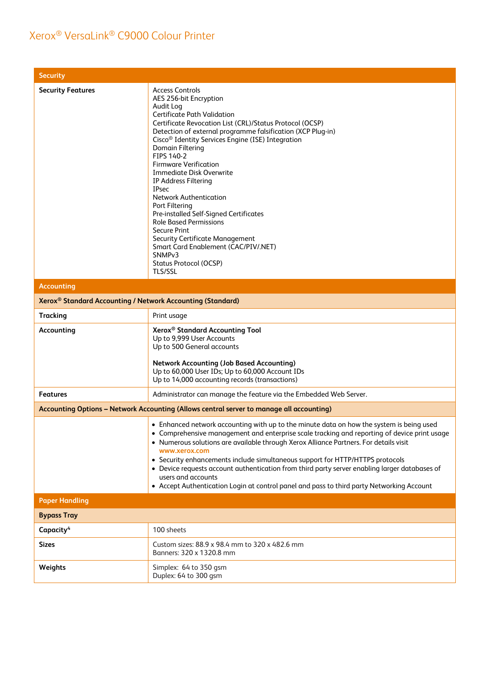| <b>Security</b>                                                        |                                                                                                                                                                                                                                                                                                                                                                                                                                                                                                                                                                                                                                                                                                                                                       |
|------------------------------------------------------------------------|-------------------------------------------------------------------------------------------------------------------------------------------------------------------------------------------------------------------------------------------------------------------------------------------------------------------------------------------------------------------------------------------------------------------------------------------------------------------------------------------------------------------------------------------------------------------------------------------------------------------------------------------------------------------------------------------------------------------------------------------------------|
| <b>Security Features</b>                                               | <b>Access Controls</b><br>AES 256-bit Encryption<br>Audit Log<br><b>Certificate Path Validation</b><br>Certificate Revocation List (CRL)/Status Protocol (OCSP)<br>Detection of external programme falsification (XCP Plug-in)<br>Cisco <sup>®</sup> Identity Services Engine (ISE) Integration<br>Domain Filtering<br>FIPS 140-2<br><b>Firmware Verification</b><br>Immediate Disk Overwrite<br>IP Address Filtering<br><b>IPsec</b><br><b>Network Authentication</b><br>Port Filtering<br>Pre-installed Self-Signed Certificates<br><b>Role Based Permissions</b><br><b>Secure Print</b><br><b>Security Certificate Management</b><br>Smart Card Enablement (CAC/PIV/.NET)<br>SNMP <sub>v3</sub><br><b>Status Protocol (OCSP)</b><br><b>TLS/SSL</b> |
| <b>Accounting</b>                                                      |                                                                                                                                                                                                                                                                                                                                                                                                                                                                                                                                                                                                                                                                                                                                                       |
| Xerox <sup>®</sup> Standard Accounting / Network Accounting (Standard) |                                                                                                                                                                                                                                                                                                                                                                                                                                                                                                                                                                                                                                                                                                                                                       |
| <b>Tracking</b>                                                        | Print usage                                                                                                                                                                                                                                                                                                                                                                                                                                                                                                                                                                                                                                                                                                                                           |
| Accounting                                                             | Xerox <sup>®</sup> Standard Accounting Tool<br>Up to 9,999 User Accounts<br>Up to 500 General accounts<br><b>Network Accounting (Job Based Accounting)</b><br>Up to 60,000 User IDs; Up to 60,000 Account IDs<br>Up to 14,000 accounting records (transactions)                                                                                                                                                                                                                                                                                                                                                                                                                                                                                       |
| <b>Features</b>                                                        | Administrator can manage the feature via the Embedded Web Server.                                                                                                                                                                                                                                                                                                                                                                                                                                                                                                                                                                                                                                                                                     |
|                                                                        | Accounting Options - Network Accounting (Allows central server to manage all accounting)                                                                                                                                                                                                                                                                                                                                                                                                                                                                                                                                                                                                                                                              |
|                                                                        | • Enhanced network accounting with up to the minute data on how the system is being used<br>• Comprehensive management and enterprise scale tracking and reporting of device print usage<br>• Numerous solutions are available through Xerox Alliance Partners. For details visit<br>www.xerox.com<br>• Security enhancements include simultaneous support for HTTP/HTTPS protocols<br>• Device requests account authentication from third party server enabling larger databases of<br>users and accounts<br>• Accept Authentication Login at control panel and pass to third party Networking Account                                                                                                                                               |
| <b>Paper Handling</b>                                                  |                                                                                                                                                                                                                                                                                                                                                                                                                                                                                                                                                                                                                                                                                                                                                       |
| <b>Bypass Tray</b>                                                     |                                                                                                                                                                                                                                                                                                                                                                                                                                                                                                                                                                                                                                                                                                                                                       |
| Capacity <sup>4</sup>                                                  | 100 sheets                                                                                                                                                                                                                                                                                                                                                                                                                                                                                                                                                                                                                                                                                                                                            |
| <b>Sizes</b>                                                           | Custom sizes: 88.9 x 98.4 mm to 320 x 482.6 mm<br>Banners: 320 x 1320.8 mm                                                                                                                                                                                                                                                                                                                                                                                                                                                                                                                                                                                                                                                                            |
| Weights                                                                | Simplex: 64 to 350 gsm<br>Duplex: 64 to 300 gsm                                                                                                                                                                                                                                                                                                                                                                                                                                                                                                                                                                                                                                                                                                       |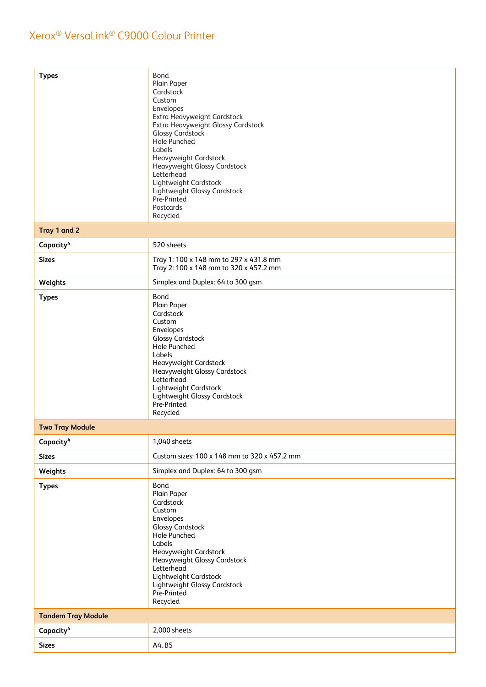| <b>Types</b>              | Bond<br>Plain Paper<br>Cardstock<br>Custom<br>Envelopes<br>Extra Heavyweight Cardstock<br>Extra Heavyweight Glossy Cardstock<br>Glossy Cardstock<br>Hole Punched<br>Labels<br>Heavyweight Cardstock<br>Heavyweight Glossy Cardstock<br>Letterhead<br>Lightweight Cardstock<br>Lightweight Glossy Cardstock<br>Pre-Printed<br>Postcards<br>Recycled |
|---------------------------|----------------------------------------------------------------------------------------------------------------------------------------------------------------------------------------------------------------------------------------------------------------------------------------------------------------------------------------------------|
| Tray 1 and 2              |                                                                                                                                                                                                                                                                                                                                                    |
| Capacity <sup>4</sup>     | 520 sheets                                                                                                                                                                                                                                                                                                                                         |
| <b>Sizes</b>              | Tray 1: 100 x 148 mm to 297 x 431.8 mm<br>Tray 2: 100 x 148 mm to 320 x 457.2 mm                                                                                                                                                                                                                                                                   |
| Weights                   | Simplex and Duplex: 64 to 300 gsm                                                                                                                                                                                                                                                                                                                  |
| <b>Types</b>              | Bond<br>Plain Paper<br>Cardstock<br>Custom<br>Envelopes<br><b>Glossy Cardstock</b><br>Hole Punched<br>Labels<br>Heavyweight Cardstock<br>Heavyweight Glossy Cardstock<br>Letterhead<br>Lightweight Cardstock<br>Lightweight Glossy Cardstock<br>Pre-Printed<br>Recycled                                                                            |
| <b>Two Tray Module</b>    |                                                                                                                                                                                                                                                                                                                                                    |
| Capacity <sup>4</sup>     | 1,040 sheets                                                                                                                                                                                                                                                                                                                                       |
| <b>Sizes</b>              | Custom sizes: 100 x 148 mm to 320 x 457.2 mm                                                                                                                                                                                                                                                                                                       |
| Weights                   | Simplex and Duplex: 64 to 300 gsm                                                                                                                                                                                                                                                                                                                  |
| <b>Types</b>              | Bond<br>Plain Paper<br>Cardstock<br>Custom<br>Envelopes<br><b>Glossy Cardstock</b><br>Hole Punched<br>Labels<br>Heavyweight Cardstock<br>Heavyweight Glossy Cardstock<br>Letterhead<br>Lightweight Cardstock<br>Lightweight Glossy Cardstock<br>Pre-Printed<br>Recycled                                                                            |
| <b>Tandem Tray Module</b> |                                                                                                                                                                                                                                                                                                                                                    |
| Capacity <sup>4</sup>     | 2,000 sheets                                                                                                                                                                                                                                                                                                                                       |
| <b>Sizes</b>              | A4, B5                                                                                                                                                                                                                                                                                                                                             |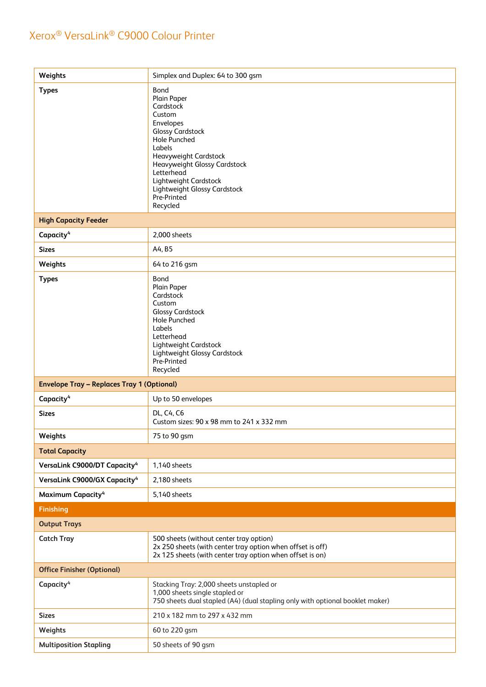| Weights                                           | Simplex and Duplex: 64 to 300 gsm                                                                                                                                                                                                                                              |
|---------------------------------------------------|--------------------------------------------------------------------------------------------------------------------------------------------------------------------------------------------------------------------------------------------------------------------------------|
| <b>Types</b>                                      | Bond<br>Plain Paper<br>Cardstock<br>Custom<br>Envelopes<br><b>Glossy Cardstock</b><br><b>Hole Punched</b><br>Labels<br>Heavyweight Cardstock<br>Heavyweight Glossy Cardstock<br>Letterhead<br>Lightweight Cardstock<br>Lightweight Glossy Cardstock<br>Pre-Printed<br>Recycled |
| <b>High Capacity Feeder</b>                       |                                                                                                                                                                                                                                                                                |
| Capacity <sup>4</sup>                             | 2,000 sheets                                                                                                                                                                                                                                                                   |
| <b>Sizes</b>                                      | A4, B5                                                                                                                                                                                                                                                                         |
| Weights                                           | 64 to 216 gsm                                                                                                                                                                                                                                                                  |
| <b>Types</b>                                      | Bond<br>Plain Paper<br>Cardstock<br>Custom<br><b>Glossy Cardstock</b><br><b>Hole Punched</b><br>Labels<br>Letterhead<br>Lightweight Cardstock<br>Lightweight Glossy Cardstock<br>Pre-Printed<br>Recycled                                                                       |
| <b>Envelope Tray - Replaces Tray 1 (Optional)</b> |                                                                                                                                                                                                                                                                                |
| Capacity <sup>4</sup>                             | Up to 50 envelopes                                                                                                                                                                                                                                                             |
| <b>Sizes</b>                                      | DL, C4, C6<br>Custom sizes: 90 x 98 mm to 241 x 332 mm                                                                                                                                                                                                                         |
| Weights                                           | 75 to 90 gsm                                                                                                                                                                                                                                                                   |
| <b>Total Capacity</b>                             |                                                                                                                                                                                                                                                                                |
| VersaLink C9000/DT Capacity <sup>4</sup>          | 1,140 sheets                                                                                                                                                                                                                                                                   |
| VersaLink C9000/GX Capacity <sup>4</sup>          | 2,180 sheets                                                                                                                                                                                                                                                                   |
| Maximum Capacity <sup>4</sup>                     | 5,140 sheets                                                                                                                                                                                                                                                                   |
| <b>Finishing</b>                                  |                                                                                                                                                                                                                                                                                |
| <b>Output Trays</b>                               |                                                                                                                                                                                                                                                                                |
| <b>Catch Tray</b>                                 | 500 sheets (without center tray option)<br>2x 250 sheets (with center tray option when offset is off)<br>2x 125 sheets (with center tray option when offset is on)                                                                                                             |
| <b>Office Finisher (Optional)</b>                 |                                                                                                                                                                                                                                                                                |
| Capacity <sup>4</sup>                             | Stacking Tray: 2,000 sheets unstapled or<br>1,000 sheets single stapled or<br>750 sheets dual stapled (A4) (dual stapling only with optional booklet maker)                                                                                                                    |
| <b>Sizes</b>                                      | 210 x 182 mm to 297 x 432 mm                                                                                                                                                                                                                                                   |
| Weights                                           | 60 to 220 gsm                                                                                                                                                                                                                                                                  |
| <b>Multiposition Stapling</b>                     | 50 sheets of 90 gsm                                                                                                                                                                                                                                                            |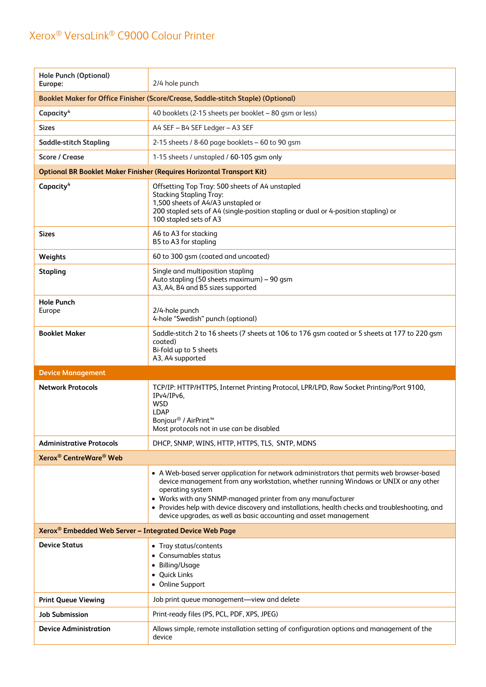| <b>Hole Punch (Optional)</b><br>Europe:                                           | 2/4 hole punch                                                                                                                                                                                                                                                                                                                                                                                                                                |  |  |
|-----------------------------------------------------------------------------------|-----------------------------------------------------------------------------------------------------------------------------------------------------------------------------------------------------------------------------------------------------------------------------------------------------------------------------------------------------------------------------------------------------------------------------------------------|--|--|
| Booklet Maker for Office Finisher (Score/Crease, Saddle-stitch Staple) (Optional) |                                                                                                                                                                                                                                                                                                                                                                                                                                               |  |  |
| Capacity <sup>4</sup>                                                             | 40 booklets (2-15 sheets per booklet – 80 gsm or less)                                                                                                                                                                                                                                                                                                                                                                                        |  |  |
| <b>Sizes</b>                                                                      | A4 SEF - B4 SEF Ledger - A3 SEF                                                                                                                                                                                                                                                                                                                                                                                                               |  |  |
| <b>Saddle-stitch Stapling</b>                                                     | 2-15 sheets / 8-60 page booklets - 60 to 90 gsm                                                                                                                                                                                                                                                                                                                                                                                               |  |  |
| <b>Score / Crease</b>                                                             | 1-15 sheets / unstapled / 60-105 gsm only                                                                                                                                                                                                                                                                                                                                                                                                     |  |  |
|                                                                                   | <b>Optional BR Booklet Maker Finisher (Requires Horizontal Transport Kit)</b>                                                                                                                                                                                                                                                                                                                                                                 |  |  |
| Capacity <sup>4</sup>                                                             | Offsetting Top Tray: 500 sheets of A4 unstapled<br><b>Stacking Stapling Tray:</b><br>1,500 sheets of A4/A3 unstapled or<br>200 stapled sets of A4 (single-position stapling or dual or 4-position stapling) or<br>100 stapled sets of A3                                                                                                                                                                                                      |  |  |
| Sizes                                                                             | A6 to A3 for stacking<br>B5 to A3 for stapling                                                                                                                                                                                                                                                                                                                                                                                                |  |  |
| Weights                                                                           | 60 to 300 qsm (coated and uncoated)                                                                                                                                                                                                                                                                                                                                                                                                           |  |  |
| <b>Stapling</b>                                                                   | Single and multiposition stapling<br>Auto stapling (50 sheets maximum) - 90 qsm<br>A3, A4, B4 and B5 sizes supported                                                                                                                                                                                                                                                                                                                          |  |  |
| <b>Hole Punch</b><br>Europe                                                       | 2/4-hole punch<br>4-hole "Swedish" punch (optional)                                                                                                                                                                                                                                                                                                                                                                                           |  |  |
| <b>Booklet Maker</b>                                                              | Saddle-stitch 2 to 16 sheets (7 sheets at 106 to 176 gsm coated or 5 sheets at 177 to 220 gsm<br>coated)<br>Bi-fold up to 5 sheets                                                                                                                                                                                                                                                                                                            |  |  |
|                                                                                   | A3, A4 supported                                                                                                                                                                                                                                                                                                                                                                                                                              |  |  |
| <b>Device Management</b>                                                          |                                                                                                                                                                                                                                                                                                                                                                                                                                               |  |  |
| <b>Network Protocols</b>                                                          | TCP/IP: HTTP/HTTPS, Internet Printing Protocol, LPR/LPD, Raw Socket Printing/Port 9100,<br>IPv4/IPv6,<br><b>WSD</b><br><b>LDAP</b><br>Bonjour <sup>®</sup> / AirPrint <sup>™</sup><br>Most protocols not in use can be disabled                                                                                                                                                                                                               |  |  |
| <b>Administrative Protocols</b>                                                   | DHCP, SNMP, WINS, HTTP, HTTPS, TLS, SNTP, MDNS                                                                                                                                                                                                                                                                                                                                                                                                |  |  |
| Xerox <sup>®</sup> CentreWare <sup>®</sup> Web                                    |                                                                                                                                                                                                                                                                                                                                                                                                                                               |  |  |
|                                                                                   | • A Web-based server application for network administrators that permits web browser-based<br>device management from any workstation, whether running Windows or UNIX or any other<br>operating system<br>• Works with any SNMP-managed printer from any manufacturer<br>• Provides help with device discovery and installations, health checks and troubleshooting, and<br>device upgrades, as well as basic accounting and asset management |  |  |
| Xerox <sup>®</sup> Embedded Web Server - Integrated Device Web Page               |                                                                                                                                                                                                                                                                                                                                                                                                                                               |  |  |
| <b>Device Status</b>                                                              | • Tray status/contents<br>• Consumables status<br>• Billing/Usage<br>• Quick Links<br>• Online Support                                                                                                                                                                                                                                                                                                                                        |  |  |
| <b>Print Queue Viewing</b>                                                        | Job print queue management-view and delete                                                                                                                                                                                                                                                                                                                                                                                                    |  |  |
| <b>Job Submission</b>                                                             | Print-ready files (PS, PCL, PDF, XPS, JPEG)                                                                                                                                                                                                                                                                                                                                                                                                   |  |  |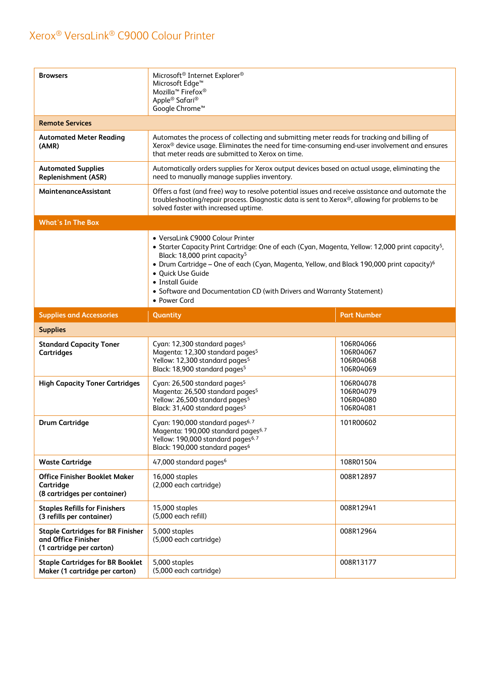| <b>Browsers</b>                                                                             | Microsoft <sup>®</sup> Internet Explorer <sup>®</sup><br>Microsoft Edge <sup>™</sup><br>Mozilla <sup>™</sup> Firefox®<br>Apple <sup>®</sup> Safari <sup>®</sup><br>Google Chrome™                                                                                                                                                                                                                                                       |                                                  |  |
|---------------------------------------------------------------------------------------------|-----------------------------------------------------------------------------------------------------------------------------------------------------------------------------------------------------------------------------------------------------------------------------------------------------------------------------------------------------------------------------------------------------------------------------------------|--------------------------------------------------|--|
| <b>Remote Services</b>                                                                      |                                                                                                                                                                                                                                                                                                                                                                                                                                         |                                                  |  |
| <b>Automated Meter Reading</b><br>(AMR)                                                     | Automates the process of collecting and submitting meter reads for tracking and billing of<br>Xerox® device usage. Eliminates the need for time-consuming end-user involvement and ensures<br>that meter reads are submitted to Xerox on time.                                                                                                                                                                                          |                                                  |  |
| <b>Automated Supplies</b><br>Replenishment (ASR)                                            | Automatically orders supplies for Xerox output devices based on actual usage, eliminating the<br>need to manually manage supplies inventory.                                                                                                                                                                                                                                                                                            |                                                  |  |
| MaintenanceAssistant                                                                        | Offers a fast (and free) way to resolve potential issues and receive assistance and automate the<br>troubleshooting/repair process. Diagnostic data is sent to Xerox®, allowing for problems to be<br>solved faster with increased uptime.                                                                                                                                                                                              |                                                  |  |
| <b>What's In The Box</b>                                                                    |                                                                                                                                                                                                                                                                                                                                                                                                                                         |                                                  |  |
|                                                                                             | • VersaLink C9000 Colour Printer<br>• Starter Capacity Print Cartridge: One of each (Cyan, Magenta, Yellow: 12,000 print capacity <sup>5</sup> ,<br>Black: 18,000 print capacity <sup>5</sup><br>• Drum Cartridge - One of each (Cyan, Magenta, Yellow, and Black 190,000 print capacity) <sup>6</sup><br>· Quick Use Guide<br>• Install Guide<br>• Software and Documentation CD (with Drivers and Warranty Statement)<br>• Power Cord |                                                  |  |
| <b>Supplies and Accessories</b>                                                             | Quantity                                                                                                                                                                                                                                                                                                                                                                                                                                | <b>Part Number</b>                               |  |
|                                                                                             |                                                                                                                                                                                                                                                                                                                                                                                                                                         |                                                  |  |
| <b>Supplies</b>                                                                             |                                                                                                                                                                                                                                                                                                                                                                                                                                         |                                                  |  |
| <b>Standard Capacity Toner</b><br><b>Cartridges</b>                                         | Cyan: 12,300 standard pages <sup>5</sup><br>Magenta: 12,300 standard pages <sup>5</sup><br>Yellow: 12,300 standard pages <sup>5</sup><br>Black: 18,900 standard pages <sup>5</sup>                                                                                                                                                                                                                                                      | 106R04066<br>106R04067<br>106R04068<br>106R04069 |  |
| <b>High Capacity Toner Cartridges</b>                                                       | Cyan: 26,500 standard pages <sup>5</sup><br>Magenta: 26,500 standard pages <sup>5</sup><br>Yellow: 26,500 standard pages <sup>5</sup><br>Black: 31,400 standard pages <sup>5</sup>                                                                                                                                                                                                                                                      | 106R04078<br>106R04079<br>106R04080<br>106R04081 |  |
| <b>Drum Cartridge</b>                                                                       | Cyan: 190,000 standard pages <sup>6, 7</sup><br>Magenta: 190,000 standard pages <sup>6,7</sup><br>Yellow: 190,000 standard pages <sup>6, 7</sup><br>Black: 190,000 standard pages <sup>6</sup>                                                                                                                                                                                                                                          | 101R00602                                        |  |
| <b>Waste Cartridge</b>                                                                      | 47,000 standard pages <sup>6</sup>                                                                                                                                                                                                                                                                                                                                                                                                      | 108R01504                                        |  |
| <b>Office Finisher Booklet Maker</b><br>Cartridge<br>(8 cartridges per container)           | 16,000 staples<br>(2,000 each cartridge)                                                                                                                                                                                                                                                                                                                                                                                                | 008R12897                                        |  |
| <b>Staples Refills for Finishers</b><br>(3 refills per container)                           | 15,000 staples<br>(5,000 each refill)                                                                                                                                                                                                                                                                                                                                                                                                   | 008R12941                                        |  |
| <b>Staple Cartridges for BR Finisher</b><br>and Office Finisher<br>(1 cartridge per carton) | 5,000 staples<br>(5,000 each cartridge)                                                                                                                                                                                                                                                                                                                                                                                                 | 008R12964                                        |  |